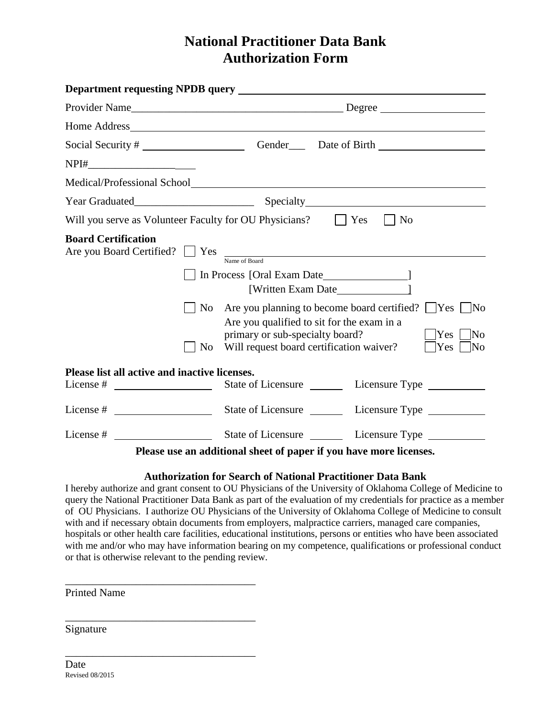# **National Practitioner Data Bank Authorization Form**

| $NPI\# \begin{tabular}{ c c c } \hline \multicolumn{3}{ c }{\textbf{NPI}} \# \end{tabular}$ |                                                                                                                                                                                                                                                                       |
|---------------------------------------------------------------------------------------------|-----------------------------------------------------------------------------------------------------------------------------------------------------------------------------------------------------------------------------------------------------------------------|
|                                                                                             |                                                                                                                                                                                                                                                                       |
|                                                                                             |                                                                                                                                                                                                                                                                       |
|                                                                                             | Will you serve as Volunteer Faculty for OU Physicians? $\Box$ Yes<br>$\vert$   No                                                                                                                                                                                     |
| <b>Board Certification</b><br>Are you Board Certified? Ses<br>No.                           | Name of Board<br>[Written Exam Date 1<br>No Are you planning to become board certified? $\Box$ Yes $\Box$ No<br>Are you qualified to sit for the exam in a<br>primary or sub-specialty board?<br>No]<br>Yes<br>Will request board certification waiver?<br>Yes<br> No |
| Please list all active and inactive licenses.<br>License $#$                                | State of Licensure Licensure Type                                                                                                                                                                                                                                     |
|                                                                                             |                                                                                                                                                                                                                                                                       |
|                                                                                             |                                                                                                                                                                                                                                                                       |
|                                                                                             | Please use an additional sheet of paper if you have more licenses.                                                                                                                                                                                                    |

### **Authorization for Search of National Practitioner Data Bank**

I hereby authorize and grant consent to OU Physicians of the University of Oklahoma College of Medicine to query the National Practitioner Data Bank as part of the evaluation of my credentials for practice as a member of OU Physicians. I authorize OU Physicians of the University of Oklahoma College of Medicine to consult with and if necessary obtain documents from employers, malpractice carriers, managed care companies, hospitals or other health care facilities, educational institutions, persons or entities who have been associated with me and/or who may have information bearing on my competence, qualifications or professional conduct or that is otherwise relevant to the pending review.

Printed Name

\_\_\_\_\_\_\_\_\_\_\_\_\_\_\_\_\_\_\_\_\_\_\_\_\_\_\_\_\_\_\_\_\_\_\_

\_\_\_\_\_\_\_\_\_\_\_\_\_\_\_\_\_\_\_\_\_\_\_\_\_\_\_\_\_\_\_\_\_\_\_

\_\_\_\_\_\_\_\_\_\_\_\_\_\_\_\_\_\_\_\_\_\_\_\_\_\_\_\_\_\_\_\_\_\_\_

Signature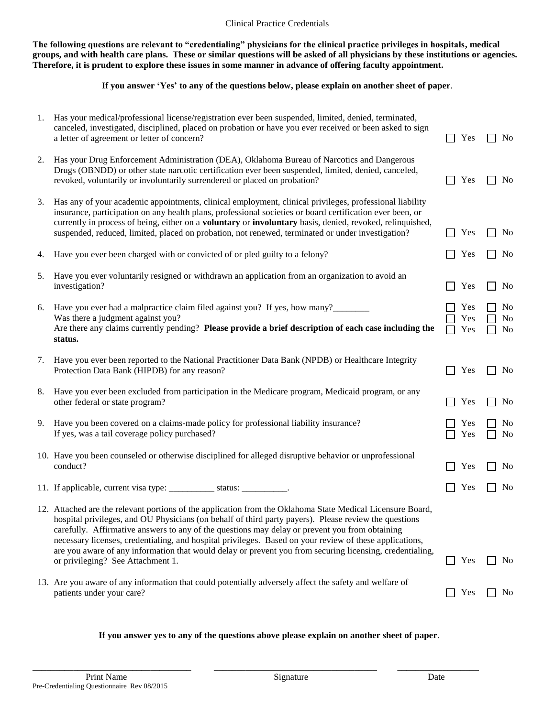**The following questions are relevant to "credentialing" physicians for the clinical practice privileges in hospitals, medical groups, and with health care plans. These or similar questions will be asked of all physicians by these institutions or agencies. Therefore, it is prudent to explore these issues in some manner in advance of offering faculty appointment.**

#### **If you answer 'Yes' to any of the questions below, please explain on another sheet of paper**.

| 1. | Has your medical/professional license/registration ever been suspended, limited, denied, terminated,<br>canceled, investigated, disciplined, placed on probation or have you ever received or been asked to sign<br>a letter of agreement or letter of concern?                                                                                                                                                                                                                                                                                                                   | Yes               | N <sub>0</sub>                                     |
|----|-----------------------------------------------------------------------------------------------------------------------------------------------------------------------------------------------------------------------------------------------------------------------------------------------------------------------------------------------------------------------------------------------------------------------------------------------------------------------------------------------------------------------------------------------------------------------------------|-------------------|----------------------------------------------------|
| 2. | Has your Drug Enforcement Administration (DEA), Oklahoma Bureau of Narcotics and Dangerous<br>Drugs (OBNDD) or other state narcotic certification ever been suspended, limited, denied, canceled,<br>revoked, voluntarily or involuntarily surrendered or placed on probation?                                                                                                                                                                                                                                                                                                    | Yes               | N <sub>0</sub>                                     |
| 3. | Has any of your academic appointments, clinical employment, clinical privileges, professional liability<br>insurance, participation on any health plans, professional societies or board certification ever been, or<br>currently in process of being, either on a voluntary or involuntary basis, denied, revoked, relinquished,<br>suspended, reduced, limited, placed on probation, not renewed, terminated or under investigation?                                                                                                                                            | Yes               | N <sub>0</sub>                                     |
| 4. | Have you ever been charged with or convicted of or pled guilty to a felony?                                                                                                                                                                                                                                                                                                                                                                                                                                                                                                       | Yes               | N <sub>0</sub>                                     |
| 5. | Have you ever voluntarily resigned or withdrawn an application from an organization to avoid an<br>investigation?                                                                                                                                                                                                                                                                                                                                                                                                                                                                 | Yes               | N <sub>o</sub>                                     |
| 6. | Have you ever had a malpractice claim filed against you? If yes, how many?<br>Was there a judgment against you?<br>Are there any claims currently pending? Please provide a brief description of each case including the<br>status.                                                                                                                                                                                                                                                                                                                                               | Yes<br>Yes<br>Yes | N <sub>0</sub><br>N <sub>0</sub><br>N <sub>o</sub> |
| 7. | Have you ever been reported to the National Practitioner Data Bank (NPDB) or Healthcare Integrity<br>Protection Data Bank (HIPDB) for any reason?                                                                                                                                                                                                                                                                                                                                                                                                                                 | Yes               | N <sub>0</sub>                                     |
| 8. | Have you ever been excluded from participation in the Medicare program, Medicaid program, or any<br>other federal or state program?                                                                                                                                                                                                                                                                                                                                                                                                                                               | Yes               | No                                                 |
| 9. | Have you been covered on a claims-made policy for professional liability insurance?<br>If yes, was a tail coverage policy purchased?                                                                                                                                                                                                                                                                                                                                                                                                                                              | Yes<br>Yes        | No<br>N <sub>0</sub>                               |
|    | 10. Have you been counseled or otherwise disciplined for alleged disruptive behavior or unprofessional<br>conduct?                                                                                                                                                                                                                                                                                                                                                                                                                                                                | Yes               | No                                                 |
|    | 11. If applicable, current visa type: ________________ status: __________                                                                                                                                                                                                                                                                                                                                                                                                                                                                                                         | Yes               | No                                                 |
|    | 12. Attached are the relevant portions of the application from the Oklahoma State Medical Licensure Board,<br>hospital privileges, and OU Physicians (on behalf of third party payers). Please review the questions<br>carefully. Affirmative answers to any of the questions may delay or prevent you from obtaining<br>necessary licenses, credentialing, and hospital privileges. Based on your review of these applications,<br>are you aware of any information that would delay or prevent you from securing licensing, credentialing,<br>or privileging? See Attachment 1. | Yes               | No                                                 |
|    | 13. Are you aware of any information that could potentially adversely affect the safety and welfare of<br>patients under your care?                                                                                                                                                                                                                                                                                                                                                                                                                                               | Yes               | No                                                 |

#### **If you answer yes to any of the questions above please explain on another sheet of paper**.